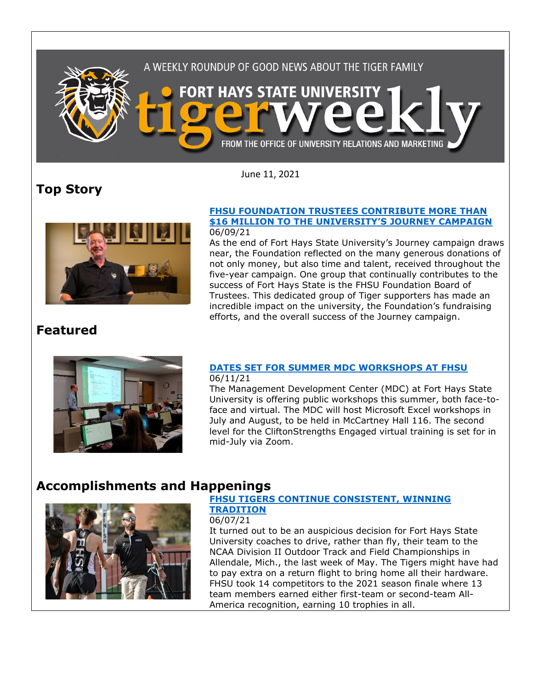

June 11, 2021

# **Top Story**



#### **[FHSU FOUNDATION TRUSTEES CONTRIBUTE MORE THAN](https://www.fhsu.edu/news/2021/06/fhsu-foundation-trustees-contribute-more-than-16-million-to-the-universitys-journey-campaign)  \$16 MILLION TO THE UNIVERSITY['S JOURNEY CAMPAIGN](https://www.fhsu.edu/news/2021/06/fhsu-foundation-trustees-contribute-more-than-16-million-to-the-universitys-journey-campaign)** 06/09/21

As the end of Fort Hays State University's Journey campaign draws near, the Foundation reflected on the many generous donations of not only money, but also time and talent, received throughout the five-year campaign. One group that continually contributes to the success of Fort Hays State is the FHSU Foundation Board of Trustees. This dedicated group of Tiger supporters has made an incredible impact on the university, the Foundation's fundraising efforts, and the overall success of the Journey campaign.

## **Featured**



#### **[DATES SET FOR SUMMER MDC WORKSHOPS AT FHSU](https://www.fhsu.edu/news/2021/06/dates-set-for-summer-mdc-workshops-at-fhsu)** 06/11/21

The Management Development Center (MDC) at Fort Hays State University is offering public workshops this summer, both face-toface and virtual. The MDC will host Microsoft Excel workshops in July and August, to be held in McCartney Hall 116. The second level for the CliftonStrengths Engaged virtual training is set for in mid-July via Zoom.

# **Accomplishments and Happenings**



#### **[FHSU TIGERS CONTINUE CONSISTENT, WINNING](https://www.fhsu.edu/news/2021/06/fhsu-tigers-continue-consistent,-winning-tradition)  [TRADITION](https://www.fhsu.edu/news/2021/06/fhsu-tigers-continue-consistent,-winning-tradition)**

### 06/07/21

It turned out to be an auspicious decision for Fort Hays State University coaches to drive, rather than fly, their team to the NCAA Division II Outdoor Track and Field Championships in Allendale, Mich., the last week of May. The Tigers might have had to pay extra on a return flight to bring home all their hardware. FHSU took 14 competitors to the 2021 season finale where 13 team members earned either first-team or second-team All-America recognition, earning 10 trophies in all.